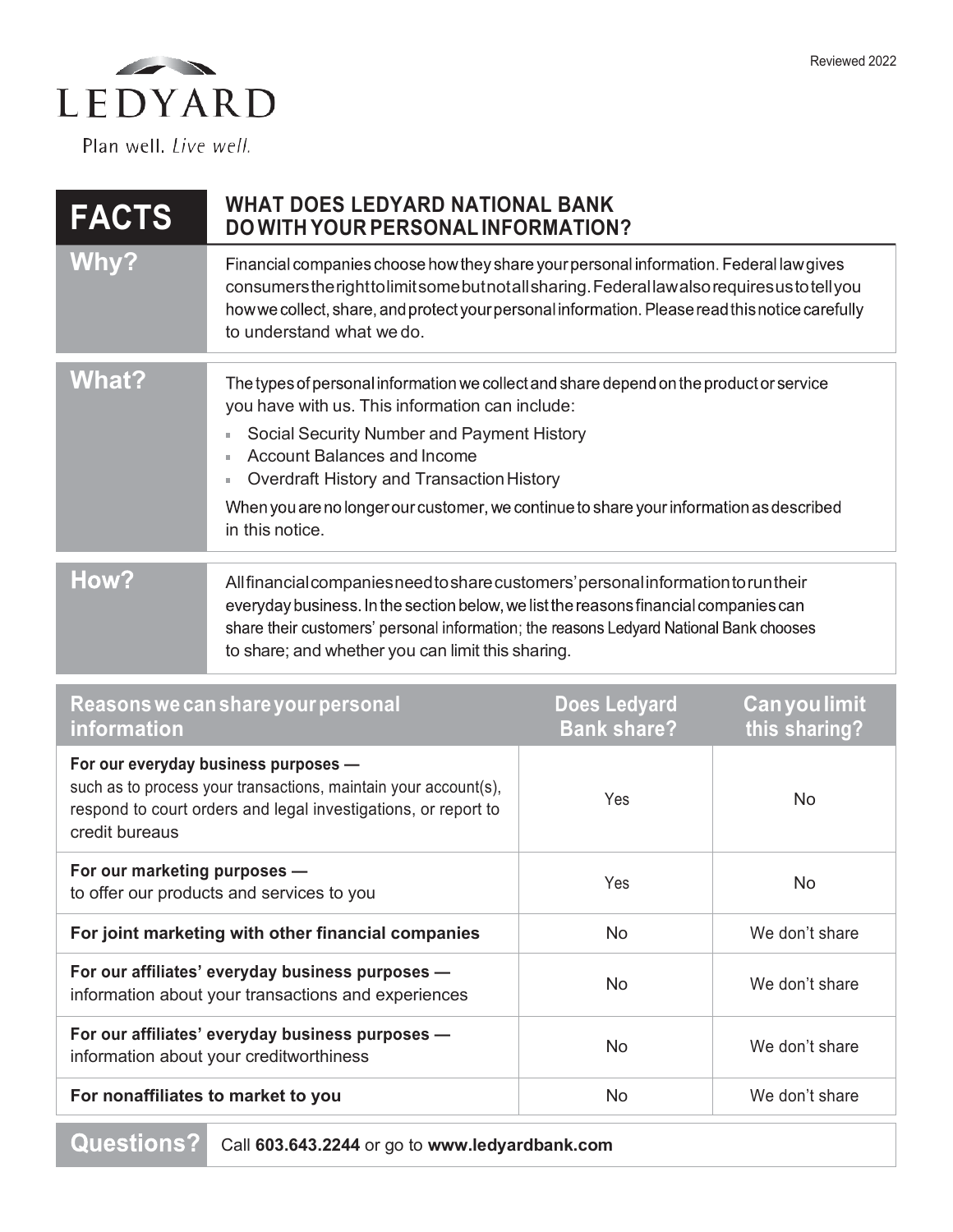

Plan well. Live well.

| <b>FACTS</b>                                                                                                                                                                                | <b>WHAT DOES LEDYARD NATIONAL BANK</b><br><b>DO WITH YOUR PERSONAL INFORMATION?</b>                                                                                                                                                                                                                                                                                                                         |                                           |                                       |
|---------------------------------------------------------------------------------------------------------------------------------------------------------------------------------------------|-------------------------------------------------------------------------------------------------------------------------------------------------------------------------------------------------------------------------------------------------------------------------------------------------------------------------------------------------------------------------------------------------------------|-------------------------------------------|---------------------------------------|
| <b>Why?</b>                                                                                                                                                                                 | Financial companies choose how they share your personal information. Federal law gives<br>consumers the right to limit some but not all sharing. Federal law also requires us to tell you<br>how we collect, share, and protect your personal information. Please read this notice carefully<br>to understand what we do.                                                                                   |                                           |                                       |
| <b>What?</b>                                                                                                                                                                                | The types of personal information we collect and share depend on the product or service<br>you have with us. This information can include:<br>Social Security Number and Payment History<br>ù.<br><b>Account Balances and Income</b><br>m.<br>Overdraft History and Transaction History<br>u.<br>When you are no longer our customer, we continue to share your information as described<br>in this notice. |                                           |                                       |
| How?                                                                                                                                                                                        | All financial companies need to share customers' personal information to run their<br>everyday business. In the section below, we list the reasons financial companies can<br>share their customers' personal information; the reasons Ledyard National Bank chooses<br>to share; and whether you can limit this sharing.                                                                                   |                                           |                                       |
| Reasons we can share your personal<br>information                                                                                                                                           |                                                                                                                                                                                                                                                                                                                                                                                                             | <b>Does Ledyard</b><br><b>Bank share?</b> | <b>Can you limit</b><br>this sharing? |
| For our everyday business purposes -<br>such as to process your transactions, maintain your account(s),<br>respond to court orders and legal investigations, or report to<br>credit bureaus |                                                                                                                                                                                                                                                                                                                                                                                                             | Yes                                       | <b>No</b>                             |

| credit bureaus                                                                                          |     |                |
|---------------------------------------------------------------------------------------------------------|-----|----------------|
| For our marketing purposes -<br>to offer our products and services to you                               | Yes | No.            |
| For joint marketing with other financial companies                                                      | No. | We don't share |
| For our affiliates' everyday business purposes -<br>information about your transactions and experiences | No. | We don't share |
| For our affiliates' everyday business purposes -<br>information about your creditworthiness             | No. | We don't share |
| For nonaffiliates to market to you                                                                      | No  | We don't share |